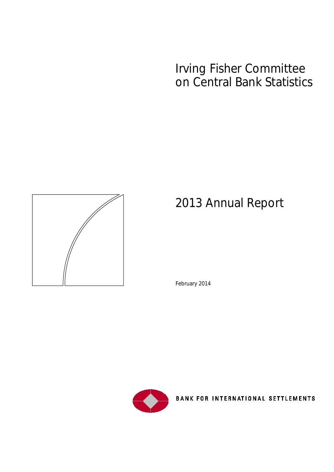# Irving Fisher Committee on Central Bank Statistics



# 2013 Annual Report

February 2014



BANK FOR INTERNATIONAL SETTLEMENTS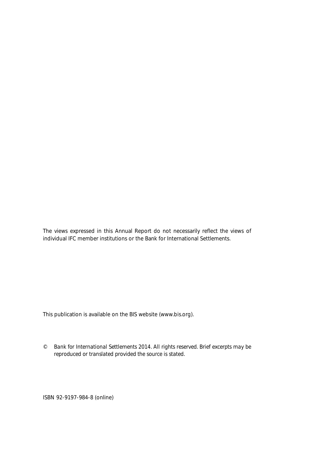The views expressed in this Annual Report do not necessarily reflect the views of individual IFC member institutions or the Bank for International Settlements.

This publication is available on the BIS website [\(www.bis.org\)](http://www.bis.org/).

*© Bank for International Settlements 2014. All rights reserved. Brief excerpts may be reproduced or translated provided the source is stated.*

ISBN 92-9197-984-8 (online)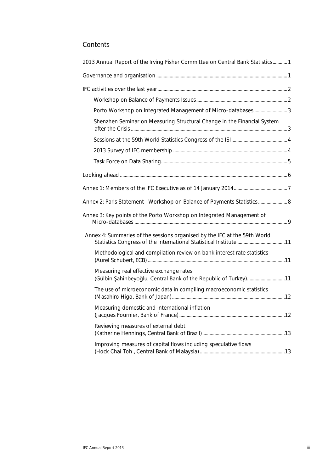### **Contents**

| 2013 Annual Report of the Irving Fisher Committee on Central Bank Statistics 1                             |  |
|------------------------------------------------------------------------------------------------------------|--|
|                                                                                                            |  |
|                                                                                                            |  |
|                                                                                                            |  |
|                                                                                                            |  |
| Shenzhen Seminar on Measuring Structural Change in the Financial System                                    |  |
|                                                                                                            |  |
|                                                                                                            |  |
|                                                                                                            |  |
|                                                                                                            |  |
|                                                                                                            |  |
| Annex 2: Paris Statement- Workshop on Balance of Payments Statistics 8                                     |  |
| Annex 3: Key points of the Porto Workshop on Integrated Management of                                      |  |
| Annex 4: Summaries of the sessions organised by the IFC at the 59th World                                  |  |
| Methodological and compilation review on bank interest rate statistics                                     |  |
| Measuring real effective exchange rates<br>(Gülbin Şahinbeyoğlu, Central Bank of the Republic of Turkey)11 |  |
| The use of microeconomic data in compiling macroeconomic statistics                                        |  |
| Measuring domestic and international inflation                                                             |  |
| Reviewing measures of external debt                                                                        |  |
| Improving measures of capital flows including speculative flows                                            |  |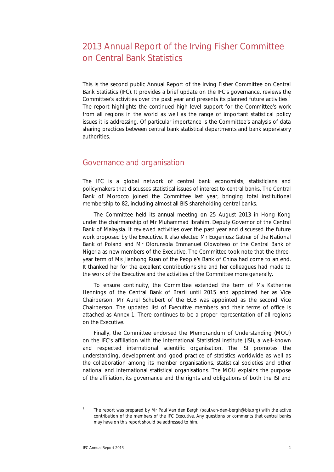## 2013 Annual Report of the Irving Fisher Committee on Central Bank Statistics

This is the second public Annual Report of the Irving Fisher Committee on Central Bank Statistics (IFC). It provides a brief update on the IFC's governance, reviews the Committee's activities over the past year and presents its planned future activities.<sup>[1](#page-4-0)</sup> The report highlights the continued high-level support for the Committee's work from all regions in the world as well as the range of important statistical policy issues it is addressing. Of particular importance is the Committee's analysis of data sharing practices between central bank statistical departments and bank supervisory authorities.

### Governance and organisation

The IFC is a global network of central bank economists, statisticians and policymakers that discusses statistical issues of interest to central banks. The Central Bank of Morocco joined the Committee last year, bringing total institutional membership to 82, including almost all BIS shareholding central banks.

The Committee held its annual meeting on 25 August 2013 in Hong Kong under the chairmanship of Mr Muhammad Ibrahim, Deputy Governor of the Central Bank of Malaysia. It reviewed activities over the past year and discussed the future work proposed by the Executive. It also elected Mr Eugeniusz Gatnar of the National Bank of Poland and Mr Olorunsola Emmanuel Olowofeso of the Central Bank of Nigeria as new members of the Executive. The Committee took note that the threeyear term of Ms Jianhong Ruan of the People's Bank of China had come to an end. It thanked her for the excellent contributions she and her colleagues had made to the work of the Executive and the activities of the Committee more generally.

To ensure continuity, the Committee extended the term of Ms Katherine Hennings of the Central Bank of Brazil until 2015 and appointed her as Vice Chairperson. Mr Aurel Schubert of the ECB was appointed as the second Vice Chairperson. The updated list of Executive members and their terms of office is attached as Annex 1. There continues to be a proper representation of all regions on the Executive.

Finally, the Committee endorsed the Memorandum of Understanding (MOU) on the IFC's affiliation with the International Statistical Institute (ISI), a well-known and respected international scientific organisation. The ISI promotes the understanding, development and good practice of statistics worldwide as well as the collaboration among its member organisations, statistical societies and other national and international statistical organisations. The MOU explains the purpose of the affiliation, its governance and the rights and obligations of both the ISI and

<span id="page-4-0"></span><sup>1</sup> The report was prepared by Mr Paul Van den Bergh (paul.van-den-bergh@bis.org) with the active contribution of the members of the IFC Executive. Any questions or comments that central banks may have on this report should be addressed to him.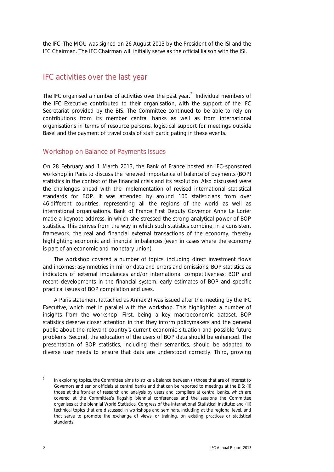the IFC. The MOU was signed on 26 August 2013 by the President of the ISI and the IFC Chairman. The IFC Chairman will initially serve as the official liaison with the ISI.

### IFC activities over the last year

The IFC organised a number of activities over the past year.<sup>[2](#page-5-0)</sup> Individual members of the IFC Executive contributed to their organisation, with the support of the IFC Secretariat provided by the BIS. The Committee continued to be able to rely on contributions from its member central banks as well as from international organisations in terms of resource persons, logistical support for meetings outside Basel and the payment of travel costs of staff participating in these events.

#### Workshop on Balance of Payments Issues

On 28 February and 1 March 2013, the Bank of France hosted an IFC-sponsored workshop in Paris to discuss the renewed importance of balance of payments (BOP) statistics in the context of the financial crisis and its resolution. Also discussed were the challenges ahead with the implementation of revised international statistical standards for BOP. It was attended by around 100 statisticians from over 46 different countries, representing all the regions of the world as well as international organisations. Bank of France First Deputy Governor Anne Le Lorier made a keynote address, in which she stressed the strong analytical power of BOP statistics. This derives from the way in which such statistics combine, in a consistent framework, the real and financial external transactions of the economy, thereby highlighting economic and financial imbalances (even in cases where the economy is part of an economic and monetary union).

The workshop covered a number of topics, including direct investment flows and incomes; asymmetries in mirror data and errors and omissions; BOP statistics as indicators of external imbalances and/or international competitiveness; BOP and recent developments in the financial system; early estimates of BOP and specific practical issues of BOP compilation and uses.

A Paris statement (attached as Annex 2) was issued after the meeting by the IFC Executive, which met in parallel with the workshop. This highlighted a number of insights from the workshop. First, being a key macroeconomic dataset, BOP statistics deserve closer attention in that they inform policymakers and the general public about the relevant country's current economic situation and possible future problems. Second, the education of the users of BOP data should be enhanced. The presentation of BOP statistics, including their semantics, should be adapted to diverse user needs to ensure that data are understood correctly. Third, growing

<span id="page-5-0"></span>In exploring topics, the Committee aims to strike a balance between (i) those that are of interest to Governors and senior officials at central banks and that can be reported to meetings at the BIS; (ii) those at the frontier of research and analysis by users and compilers at central banks, which are covered at the Committee's flagship biennial conferences and the sessions the Committee organises at the biennial World Statistical Congress of the International Statistical Institute; and (iii) technical topics that are discussed in workshops and seminars, including at the regional level, and that serve to promote the exchange of views, or training, on existing practices or statistical standards.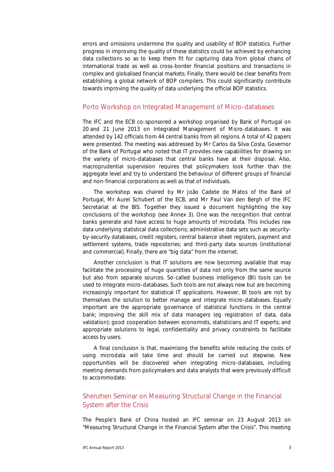errors and omissions undermine the quality and usability of BOP statistics. Further progress in improving the quality of these statistics could be achieved by enhancing data collections so as to keep them fit for capturing data from global chains of international trade as well as cross-border financial positions and transactions in complex and globalised financial markets. Finally, there would be clear benefits from establishing a global network of BOP compilers. This could significantly contribute towards improving the quality of data underlying the official BOP statistics.

#### Porto Workshop on Integrated Management of Micro-databases

The IFC and the ECB co-sponsored a workshop organised by Bank of Portugal on 20 and 21 June 2013 on Integrated Management of Micro-databases. It was attended by 142 officials from 44 central banks from all regions. A total of 42 papers were presented. The meeting was addressed by Mr Carlos da Silva Costa, Governor of the Bank of Portugal who noted that IT provides new capabilities for drawing on the variety of micro-databases that central banks have at their disposal. Also, macroprudential supervision requires that policymakers look further than the aggregate level and try to understand the behaviour of different groups of financial and non-financial corporations as well as that of individuals.

The workshop was chaired by Mr João Cadete de Matos of the Bank of Portugal, Mr Aurel Schubert of the ECB, and Mr Paul Van den Bergh of the IFC Secretariat at the BIS. Together they issued a document highlighting the key conclusions of the workshop (see Annex 3). One was the recognition that central banks generate and have access to huge amounts of microdata. This includes raw data underlying statistical data collections; administrative data sets such as securityby-security databases, credit registers, central balance sheet registers, payment and settlement systems, trade repositories; and third-party data sources (institutional and commercial). Finally, there are "big data" from the internet.

Another conclusion is that IT solutions are now becoming available that may facilitate the processing of huge quantities of data not only from the same source but also from separate sources. So-called business intelligence (BI) tools can be used to integrate micro-databases. Such tools are not always new but are becoming increasingly important for statistical IT applications. However, BI tools are not by themselves the solution to better manage and integrate micro-databases. Equally important are the appropriate governance of statistical functions in the central bank; improving the skill mix of data managers (eg registration of data, data validation); good cooperation between economists, statisticians and IT experts; and appropriate solutions to legal, confidentiality and privacy constraints to facilitate access by users.

A final conclusion is that, maximising the benefits while reducing the costs of using microdata will take time and should be carried out stepwise. New opportunities will be discovered when integrating micro-databases, including meeting demands from policymakers and data analysts that were previously difficult to accommodate.

### Shenzhen Seminar on Measuring Structural Change in the Financial System after the Crisis

The People's Bank of China hosted an IFC seminar on 23 August 2013 on "Measuring Structural Change in the Financial System after the Crisis". This meeting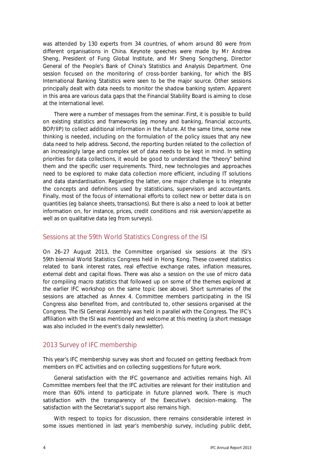was attended by 130 experts from 34 countries, of whom around 80 were from different organisations in China. Keynote speeches were made by Mr Andrew Sheng, President of Fung Global Institute, and Mr Sheng Songcheng, Director General of the People's Bank of China's Statistics and Analysis Department. One session focused on the monitoring of cross-border banking, for which the BIS International Banking Statistics were seen to be the major source. Other sessions principally dealt with data needs to monitor the shadow banking system. Apparent in this area are various data gaps that the Financial Stability Board is aiming to close at the international level.

There were a number of messages from the seminar. First, it is possible to build on existing statistics and frameworks (eg money and banking, financial accounts, BOP/IIP) to collect additional information in the future. At the same time, some new thinking is needed, including on the formulation of the policy issues that any new data need to help address. Second, the reporting burden related to the collection of an increasingly large and complex set of data needs to be kept in mind. In setting priorities for data collections, it would be good to understand the "theory" behind them and the specific user requirements. Third, new technologies and approaches need to be explored to make data collection more efficient, including IT solutions and data standardisation. Regarding the latter, one major challenge is to integrate the concepts and definitions used by statisticians, supervisors and accountants. Finally, most of the focus of international efforts to collect new or better data is on quantities (eg balance sheets, transactions). But there is also a need to look at better information on, for instance, prices, credit conditions and risk aversion/appetite as well as on qualitative data (eg from surveys).

#### Sessions at the 59th World Statistics Congress of the ISI

On 26–27 August 2013, the Committee organised six sessions at the ISI's 59th biennial World Statistics Congress held in Hong Kong. These covered statistics related to bank interest rates, real effective exchange rates, inflation measures, external debt and capital flows. There was also a session on the use of micro data for compiling macro statistics that followed up on some of the themes explored at the earlier IFC workshop on the same topic (see above). Short summaries of the sessions are attached as Annex 4. Committee members participating in the ISI Congress also benefited from, and contributed to, other sessions organised at the Congress. The ISI General Assembly was held in parallel with the Congress. The IFC's affiliation with the ISI was mentioned and welcome at this meeting (a short message was also included in the event's daily newsletter).

#### 2013 Survey of IFC membership

This year's IFC membership survey was short and focused on getting feedback from members on IFC activities and on collecting suggestions for future work.

General satisfaction with the IFC governance and activities remains high. All Committee members feel that the IFC activities are relevant for their institution and more than 60% intend to participate in future planned work. There is much satisfaction with the transparency of the Executive's decision-making. The satisfaction with the Secretariat's support also remains high.

With respect to topics for discussion, there remains considerable interest in some issues mentioned in last year's membership survey, including public debt,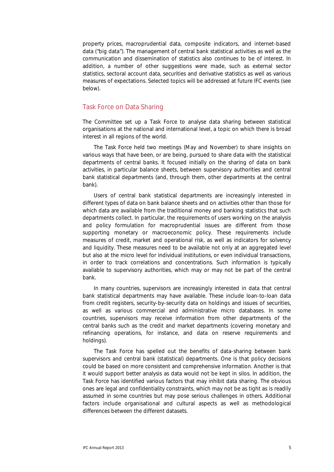property prices, macroprudential data, composite indicators, and internet-based data ("big data"). The management of central bank statistical activities as well as the communication and dissemination of statistics also continues to be of interest. In addition, a number of other suggestions were made, such as external sector statistics, sectoral account data, securities and derivative statistics as well as various measures of expectations. Selected topics will be addressed at future IFC events (see below).

#### Task Force on Data Sharing

The Committee set up a Task Force to analyse data sharing between statistical organisations at the national and international level, a topic on which there is broad interest in all regions of the world.

The Task Force held two meetings (May and November) to share insights on various ways that have been, or are being, pursued to share data with the statistical departments of central banks. It focused initially on the sharing of data on bank activities, in particular balance sheets, between supervisory authorities and central bank statistical departments (and, through them, other departments at the central bank).

Users of central bank statistical departments are increasingly interested in different types of data on bank balance sheets and on activities other than those for which data are available from the traditional money and banking statistics that such departments collect. In particular, the requirements of users working on the analysis and policy formulation for macroprudential issues are different from those supporting monetary or macroeconomic policy. These requirements include measures of credit, market and operational risk, as well as indicators for solvency and liquidity. These measures need to be available not only at an aggregated level but also at the micro level for individual institutions, or even individual transactions, in order to track correlations and concentrations. Such information is typically available to supervisory authorities, which may or may not be part of the central bank.

In many countries, supervisors are increasingly interested in data that central bank statistical departments may have available. These include loan-to-loan data from credit registers, security-by-security data on holdings and issues of securities, as well as various commercial and administrative micro databases. In some countries, supervisors may receive information from other departments of the central banks such as the credit and market departments (covering monetary and refinancing operations, for instance, and data on reserve requirements and holdings).

The Task Force has spelled out the benefits of data-sharing between bank supervisors and central bank (statistical) departments. One is that policy decisions could be based on more consistent and comprehensive information. Another is that it would support better analysis as data would not be kept in silos. In addition, the Task Force has identified various factors that may inhibit data sharing. The obvious ones are legal and confidentiality constraints, which may not be as tight as is readily assumed in some countries but may pose serious challenges in others. Additional factors include organisational and cultural aspects as well as methodological differences between the different datasets.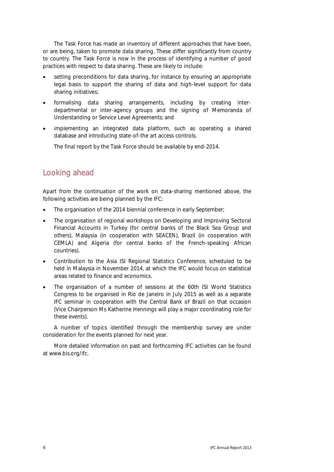The Task Force has made an inventory of different approaches that have been, or are being, taken to promote data sharing. These differ significantly from country to country. The Task Force is now in the process of identifying a number of good practices with respect to data sharing. These are likely to include:

- setting preconditions for data sharing, for instance by ensuring an appropriate legal basis to support the sharing of data and high-level support for data sharing initiatives;
- formalising data sharing arrangements, including by creating interdepartmental or inter-agency groups and the signing of Memoranda of Understanding or Service Level Agreements; and
- implementing an integrated data platform, such as operating a shared database and introducing state-of-the art access controls.

The final report by the Task Force should be available by end-2014.

### Looking ahead

Apart from the continuation of the work on data-sharing mentioned above, the following activities are being planned by the IFC:

- The organisation of the 2014 biennial conference in early September;
- The organisation of regional workshops on Developing and Improving Sectoral Financial Accounts in Turkey (for central banks of the Black Sea Group and others), Malaysia (in cooperation with SEACEN), Brazil (in cooperation with CEMLA) and Algeria (for central banks of the French-speaking African countries).
- Contribution to the Asia ISI Regional Statistics Conference, scheduled to be held in Malaysia in November 2014, at which the IFC would focus on statistical areas related to finance and economics.
- The organisation of a number of sessions at the 60th ISI World Statistics Congress to be organised in Rio de Janeiro in July 2015 as well as a separate IFC seminar in cooperation with the Central Bank of Brazil on that occasion (Vice Chairperson Ms Katherine Hennings will play a major coordinating role for these events).

A number of topics identified through the membership survey are under consideration for the events planned for next year.

More detailed information on past and forthcoming IFC activities can be found at [www.bis.org/ifc.](http://www.bis.org/ifc/index.htm)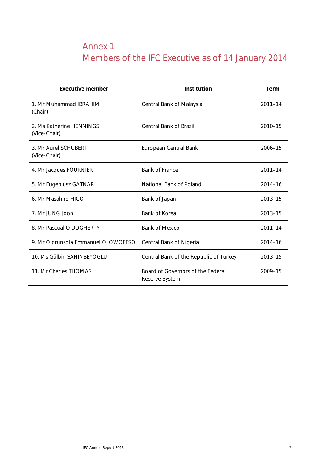# Annex 1 Members of the IFC Executive as of 14 January 2014

| <b>Executive member</b>                  | <b>Institution</b>                                  | <b>Term</b> |
|------------------------------------------|-----------------------------------------------------|-------------|
| 1. Mr Muhammad IBRAHIM<br>(Chair)        | Central Bank of Malaysia                            | $2011 - 14$ |
| 2. Ms Katherine HENNINGS<br>(Vice-Chair) | <b>Central Bank of Brazil</b>                       | 2010-15     |
| 3. Mr Aurel SCHUBERT<br>(Vice-Chair)     | European Central Bank                               | 2006-15     |
| 4. Mr Jacques FOURNIER                   | <b>Bank of France</b>                               | $2011 - 14$ |
| 5. Mr Eugeniusz GATNAR                   | National Bank of Poland                             | $2014 - 16$ |
| 6. Mr Masahiro HIGO                      | Bank of Japan                                       | $2013 - 15$ |
| 7. Mr JUNG Joon                          | Bank of Korea                                       | $2013 - 15$ |
| 8. Mr Pascual O'DOGHERTY                 | <b>Bank of Mexico</b>                               | $2011 - 14$ |
| 9. Mr Olorunsola Emmanuel OLOWOFESO      | Central Bank of Nigeria                             | $2014 - 16$ |
| 10. Ms Gülbin SAHINBEYOGLU               | Central Bank of the Republic of Turkey              | $2013 - 15$ |
| 11. Mr Charles THOMAS                    | Board of Governors of the Federal<br>Reserve System | 2009-15     |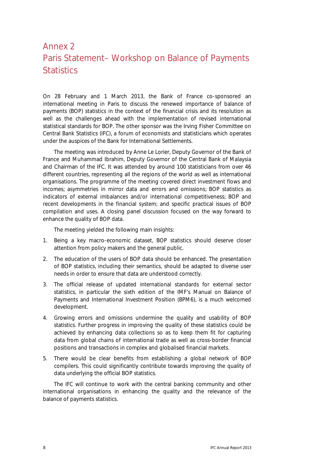# Annex 2 Paris Statement– Workshop on Balance of Payments **Statistics**

On 28 February and 1 March 2013, the Bank of France co-sponsored an international meeting in Paris to discuss the renewed importance of balance of payments (BOP) statistics in the context of the financial crisis and its resolution as well as the challenges ahead with the implementation of revised international statistical standards for BOP. The other sponsor was the Irving Fisher Committee on Central Bank Statistics (IFC), a forum of economists and statisticians which operates under the auspices of the Bank for International Settlements.

The meeting was introduced by Anne Le Lorier, Deputy Governor of the Bank of France and Muhammad Ibrahim, Deputy Governor of the Central Bank of Malaysia and Chairman of the IFC. It was attended by around 100 statisticians from over 46 different countries, representing all the regions of the world as well as international organisations. The programme of the meeting covered direct investment flows and incomes; asymmetries in mirror data and errors and omissions; BOP statistics as indicators of external imbalances and/or international competitiveness; BOP and recent developments in the financial system; and specific practical issues of BOP compilation and uses. A closing panel discussion focused on the way forward to enhance the quality of BOP data.

The meeting yielded the following main insights:

- 1. Being a key macro-economic dataset, BOP statistics should deserve closer attention from policy makers and the general public.
- 2. The education of the users of BOP data should be enhanced. The presentation of BOP statistics, including their semantics, should be adapted to diverse user needs in order to ensure that data are understood correctly.
- 3. The official release of updated international standards for external sector statistics, in particular the sixth edition of the IMF's Manual on Balance of Payments and International Investment Position (BPM6), is a much welcomed development.
- 4. Growing errors and omissions undermine the quality and usability of BOP statistics. Further progress in improving the quality of these statistics could be achieved by enhancing data collections so as to keep them fit for capturing data from global chains of international trade as well as cross-border financial positions and transactions in complex and globalised financial markets.
- 5. There would be clear benefits from establishing a global network of BOP compilers. This could significantly contribute towards improving the quality of data underlying the official BOP statistics.

The IFC will continue to work with the central banking community and other international organisations in enhancing the quality and the relevance of the balance of payments statistics.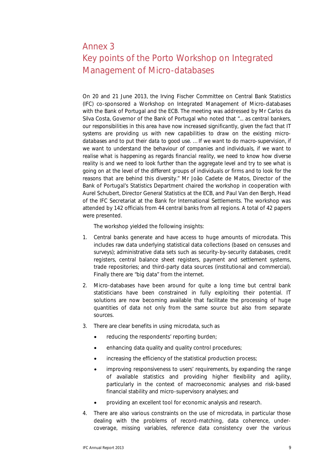# Annex 3 Key points of the Porto Workshop on Integrated Management of Micro-databases

On 20 and 21 June 2013, the Irving Fischer Committee on Central Bank Statistics (IFC) co-sponsored a Workshop on Integrated Management of Micro-databases with the Bank of Portugal and the ECB. The meeting was addressed by Mr Carlos da Silva Costa, Governor of the Bank of Portugal who noted that "... *as central bankers, our responsibilities in this area have now increased significantly, given the fact that IT systems are providing us with new capabilities to draw on the existing microdatabases and to put their data to good use. … If we want to do macro-supervision, if we want to understand the behaviour of companies and individuals, if we want to realise what is happening as regards financial reality, we need to know how diverse reality is and we need to look further than the aggregate level and try to see what is going on at the level of the different groups of individuals or firms and to look for the reasons that are behind this diversity*." Mr João Cadete de Matos, Director of the Bank of Portugal's Statistics Department chaired the workshop in cooperation with Aurel Schubert, Director General Statistics at the ECB, and Paul Van den Bergh, Head of the IFC Secretariat at the Bank for International Settlements. The workshop was attended by 142 officials from 44 central banks from all regions. A total of 42 papers were presented.

The workshop yielded the following insights:

- 1. Central banks generate and have access to huge amounts of microdata. This includes raw data underlying statistical data collections (based on censuses and surveys); administrative data sets such as security-by-security databases, credit registers, central balance sheet registers, payment and settlement systems, trade repositories; and third-party data sources (institutional and commercial). Finally there are "big data" from the internet.
- 2. Micro-databases have been around for quite a long time but central bank statisticians have been constrained in fully exploiting their potential. IT solutions are now becoming available that facilitate the processing of huge quantities of data not only from the same source but also from separate sources.
- 3. There are clear benefits in using microdata, such as
	- reducing the respondents' reporting burden;
	- enhancing data quality and quality control procedures;
	- increasing the efficiency of the statistical production process;
	- improving responsiveness to users' requirements, by expanding the range of available statistics and providing higher flexibility and agility, particularly in the context of macroeconomic analyses and risk-based financial stability and micro-supervisory analyses; and
	- providing an excellent tool for economic analysis and research.
- 4. There are also various constraints on the use of microdata, in particular those dealing with the problems of record-matching, data coherence, undercoverage, missing variables, reference data consistency over the various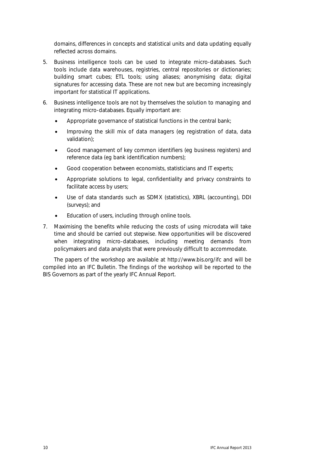domains, differences in concepts and statistical units and data updating equally reflected across domains.

- 5. Business intelligence tools can be used to integrate micro-databases. Such tools include data warehouses, registries, central repositories or dictionaries; building smart cubes; ETL tools; using aliases; anonymising data; digital signatures for accessing data. These are not new but are becoming increasingly important for statistical IT applications.
- 6. Business intelligence tools are not by themselves the solution to managing and integrating micro-databases. Equally important are:
	- Appropriate governance of statistical functions in the central bank;
	- Improving the skill mix of data managers (eg registration of data, data validation);
	- Good management of key common identifiers (eg business registers) and reference data (eg bank identification numbers);
	- Good cooperation between economists, statisticians and IT experts;
	- Appropriate solutions to legal, confidentiality and privacy constraints to facilitate access by users;
	- Use of data standards such as SDMX (statistics), XBRL (accounting), DDI (surveys); and
	- Education of users, including through online tools.
- 7. Maximising the benefits while reducing the costs of using microdata will take time and should be carried out stepwise. New opportunities will be discovered when integrating micro-databases, including meeting demands from policymakers and data analysts that were previously difficult to accommodate.

The papers of the workshop are available at<http://www.bis.org/ifc> and will be compiled into an IFC Bulletin. The findings of the workshop will be reported to the BIS Governors as part of the yearly IFC Annual Report.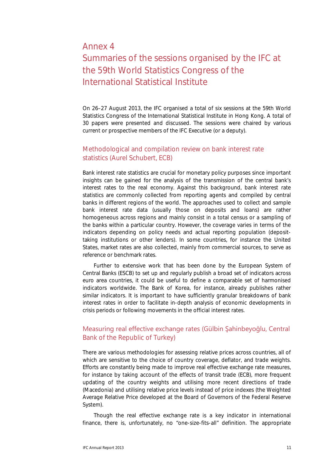### Annex 4

# Summaries of the sessions organised by the IFC at the 59th World Statistics Congress of the International Statistical Institute

On 26–27 August 2013, the IFC organised a total of six sessions at the 59th World Statistics Congress of the International Statistical Institute in Hong Kong. A total of 30 papers were presented and discussed. The sessions were chaired by various current or prospective members of the IFC Executive (or a deputy).

### Methodological and compilation review on bank interest rate statistics (Aurel Schubert, ECB)

Bank interest rate statistics are crucial for monetary policy purposes since important insights can be gained for the analysis of the transmission of the central bank's interest rates to the real economy. Against this background, bank interest rate statistics are commonly collected from reporting agents and compiled by central banks in different regions of the world. The approaches used to collect and sample bank interest rate data (usually those on deposits and loans) are rather homogeneous across regions and mainly consist in a total census or a sampling of the banks within a particular country. However, the coverage varies in terms of the indicators depending on policy needs and actual reporting population (deposittaking institutions or other lenders). In some countries, for instance the United States, market rates are also collected, mainly from commercial sources, to serve as reference or benchmark rates.

Further to extensive work that has been done by the European System of Central Banks (ESCB) to set up and regularly publish a broad set of indicators across euro area countries, it could be useful to define a comparable set of harmonised indicators worldwide. The Bank of Korea, for instance, already publishes rather similar indicators. It is important to have sufficiently granular breakdowns of bank interest rates in order to facilitate in-depth analysis of economic developments in crisis periods or following movements in the official interest rates.

### Measuring real effective exchange rates (Gülbin Şahinbeyoğlu, Central Bank of the Republic of Turkey)

There are various methodologies for assessing relative prices across countries, all of which are sensitive to the choice of country coverage, deflator, and trade weights. Efforts are constantly being made to improve real effective exchange rate measures, for instance by taking account of the effects of transit trade (ECB), more frequent updating of the country weights and utilising more recent directions of trade (Macedonia) and utilising relative price levels instead of price indexes (the Weighted Average Relative Price developed at the Board of Governors of the Federal Reserve System).

Though the real effective exchange rate is a key indicator in international finance, there is, unfortunately, no "one-size-fits-all" definition. The appropriate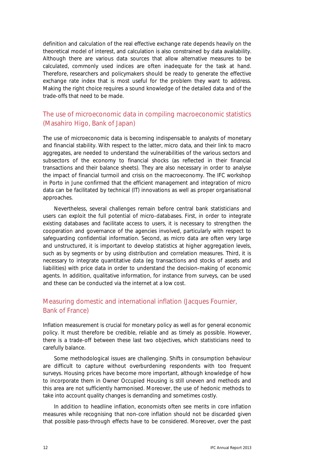definition and calculation of the real effective exchange rate depends heavily on the theoretical model of interest, and calculation is also constrained by data availability. Although there are various data sources that allow alternative measures to be calculated, commonly used indices are often inadequate for the task at hand. Therefore, researchers and policymakers should be ready to generate the effective exchange rate index that is most useful for the problem they want to address. Making the right choice requires a sound knowledge of the detailed data and of the trade-offs that need to be made.

### The use of microeconomic data in compiling macroeconomic statistics (Masahiro Higo, Bank of Japan)

The use of microeconomic data is becoming indispensable to analysts of monetary and financial stability. With respect to the latter, micro data, and their link to macro aggregates, are needed to understand the vulnerabilities of the various sectors and subsectors of the economy to financial shocks (as reflected in their financial transactions and their balance sheets). They are also necessary in order to analyse the impact of financial turmoil and crisis on the macroeconomy. The IFC workshop in Porto in June confirmed that the efficient management and integration of micro data can be facilitated by technical (IT) innovations as well as proper organisational approaches.

Nevertheless, several challenges remain before central bank statisticians and users can exploit the full potential of micro-databases. First, in order to integrate existing databases and facilitate access to users, it is necessary to strengthen the cooperation and governance of the agencies involved, particularly with respect to safeguarding confidential information. Second, as micro data are often very large and unstructured, it is important to develop statistics at higher aggregation levels, such as by segments or by using distribution and correlation measures. Third, it is necessary to integrate quantitative data (eg transactions and stocks of assets and liabilities) with price data in order to understand the decision-making of economic agents. In addition, qualitative information, for instance from surveys, can be used and these can be conducted via the internet at a low cost.

### Measuring domestic and international inflation (Jacques Fournier, Bank of France)

Inflation measurement is crucial for monetary policy as well as for general economic policy. It must therefore be credible, reliable and as timely as possible. However, there is a trade-off between these last two objectives, which statisticians need to carefully balance.

Some methodological issues are challenging. Shifts in consumption behaviour are difficult to capture without overburdening respondents with too frequent surveys. Housing prices have become more important, although knowledge of how to incorporate them in Owner Occupied Housing is still uneven and methods and this area are not sufficiently harmonised. Moreover, the use of hedonic methods to take into account quality changes is demanding and sometimes costly.

In addition to headline inflation, economists often see merits in core inflation measures while recognising that non-core inflation should not be discarded given that possible pass-through effects have to be considered. Moreover, over the past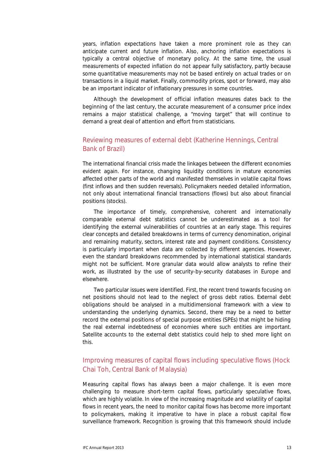years, inflation expectations have taken a more prominent role as they can anticipate current and future inflation. Also, anchoring inflation expectations is typically a central objective of monetary policy. At the same time, the usual measurements of expected inflation do not appear fully satisfactory, partly because some quantitative measurements may not be based entirely on actual trades or on transactions in a liquid market. Finally, commodity prices, spot or forward, may also be an important indicator of inflationary pressures in some countries.

Although the development of official inflation measures dates back to the beginning of the last century, the accurate measurement of a consumer price index remains a major statistical challenge, a "moving target" that will continue to demand a great deal of attention and effort from statisticians.

### Reviewing measures of external debt (Katherine Hennings, Central Bank of Brazil)

The international financial crisis made the linkages between the different economies evident again. For instance, changing liquidity conditions in mature economies affected other parts of the world and manifested themselves in volatile capital flows (first inflows and then sudden reversals). Policymakers needed detailed information, not only about international financial transactions (flows) but also about financial positions (stocks).

The importance of timely, comprehensive, coherent and internationally comparable external debt statistics cannot be underestimated as a tool for identifying the external vulnerabilities of countries at an early stage. This requires clear concepts and detailed breakdowns in terms of currency denomination, original and remaining maturity, sectors, interest rate and payment conditions. Consistency is particularly important when data are collected by different agencies. However, even the standard breakdowns recommended by international statistical standards might not be sufficient. More granular data would allow analysts to refine their work, as illustrated by the use of security-by-security databases in Europe and elsewhere.

Two particular issues were identified. First, the recent trend towards focusing on net positions should not lead to the neglect of gross debt ratios. External debt obligations should be analysed in a multidimensional framework with a view to understanding the underlying dynamics. Second, there may be a need to better record the external positions of special purpose entities (SPEs) that might be hiding the real external indebtedness of economies where such entities are important. Satellite accounts to the external debt statistics could help to shed more light on this.

### Improving measures of capital flows including speculative flows (Hock Chai Toh, Central Bank of Malaysia)

Measuring capital flows has always been a major challenge. It is even more challenging to measure short-term capital flows, particularly speculative flows, which are highly volatile. In view of the increasing magnitude and volatility of capital flows in recent years, the need to monitor capital flows has become more important to policymakers, making it imperative to have in place a robust capital flow surveillance framework. Recognition is growing that this framework should include